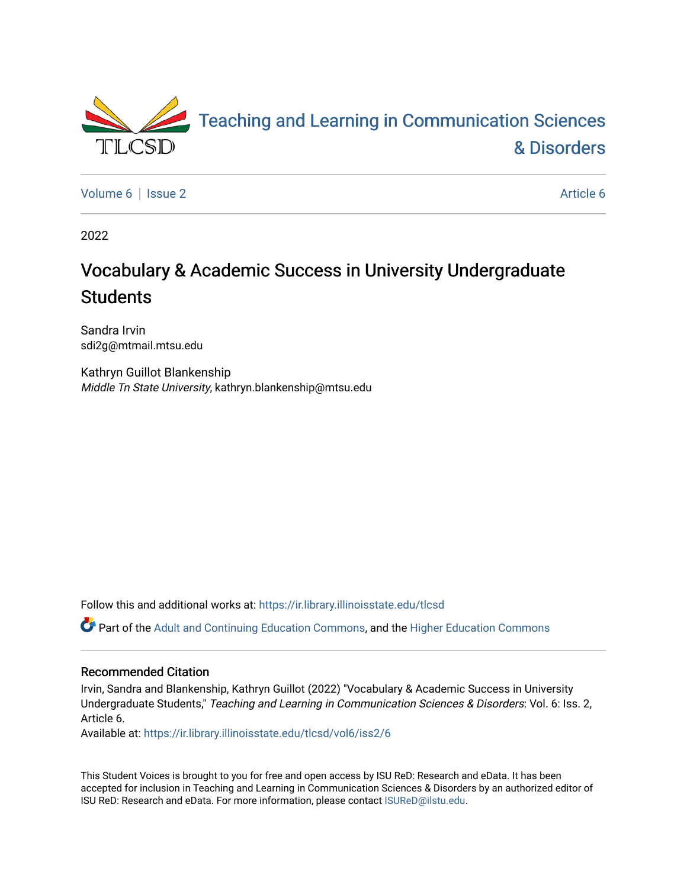

[Volume 6](https://ir.library.illinoisstate.edu/tlcsd/vol6) | [Issue 2](https://ir.library.illinoisstate.edu/tlcsd/vol6/iss2) [Article 6](https://ir.library.illinoisstate.edu/tlcsd/vol6/iss2/6) | Article 6 Article 6 | Article 6 Article 6 | Article 6 | Article 6 | Article 6 |

2022

# Vocabulary & Academic Success in University Undergraduate **Students**

Sandra Irvin sdi2g@mtmail.mtsu.edu

Kathryn Guillot Blankenship Middle Tn State University, kathryn.blankenship@mtsu.edu

Follow this and additional works at: [https://ir.library.illinoisstate.edu/tlcsd](https://ir.library.illinoisstate.edu/tlcsd?utm_source=ir.library.illinoisstate.edu%2Ftlcsd%2Fvol6%2Fiss2%2F6&utm_medium=PDF&utm_campaign=PDFCoverPages)

Part of the [Adult and Continuing Education Commons,](https://network.bepress.com/hgg/discipline/1375?utm_source=ir.library.illinoisstate.edu%2Ftlcsd%2Fvol6%2Fiss2%2F6&utm_medium=PDF&utm_campaign=PDFCoverPages) and the [Higher Education Commons](https://network.bepress.com/hgg/discipline/1245?utm_source=ir.library.illinoisstate.edu%2Ftlcsd%2Fvol6%2Fiss2%2F6&utm_medium=PDF&utm_campaign=PDFCoverPages)

#### Recommended Citation

Irvin, Sandra and Blankenship, Kathryn Guillot (2022) "Vocabulary & Academic Success in University Undergraduate Students," Teaching and Learning in Communication Sciences & Disorders: Vol. 6: Iss. 2, Article 6.

Available at: [https://ir.library.illinoisstate.edu/tlcsd/vol6/iss2/6](https://ir.library.illinoisstate.edu/tlcsd/vol6/iss2/6?utm_source=ir.library.illinoisstate.edu%2Ftlcsd%2Fvol6%2Fiss2%2F6&utm_medium=PDF&utm_campaign=PDFCoverPages) 

This Student Voices is brought to you for free and open access by ISU ReD: Research and eData. It has been accepted for inclusion in Teaching and Learning in Communication Sciences & Disorders by an authorized editor of ISU ReD: Research and eData. For more information, please contact [ISUReD@ilstu.edu.](mailto:ISUReD@ilstu.edu)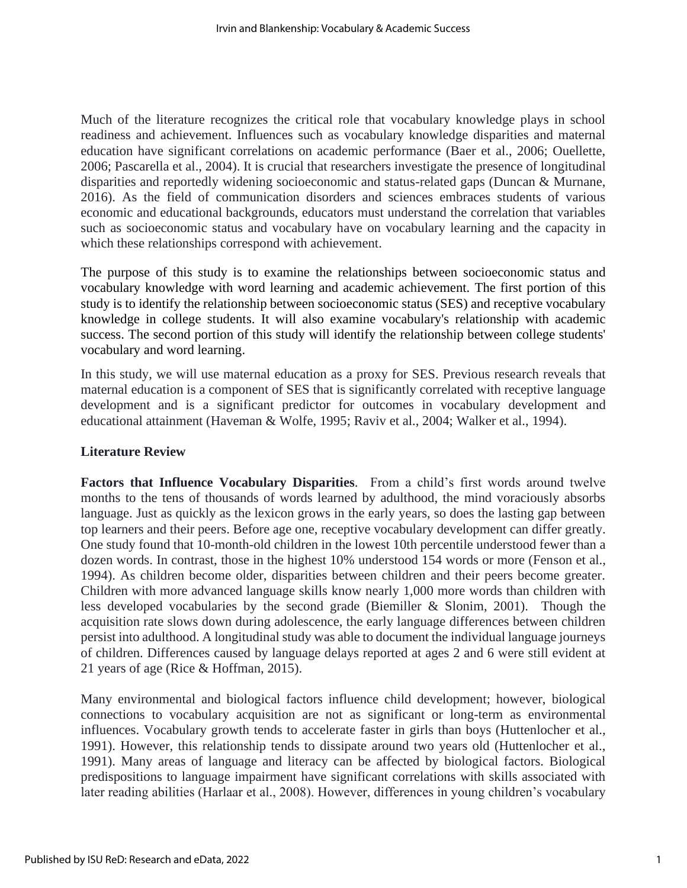Much of the literature recognizes the critical role that vocabulary knowledge plays in school readiness and achievement. Influences such as vocabulary knowledge disparities and maternal education have significant correlations on academic performance (Baer et al., 2006; Ouellette, 2006; Pascarella et al., 2004). It is crucial that researchers investigate the presence of longitudinal disparities and reportedly widening socioeconomic and status-related gaps (Duncan & Murnane, 2016). As the field of communication disorders and sciences embraces students of various economic and educational backgrounds, educators must understand the correlation that variables such as socioeconomic status and vocabulary have on vocabulary learning and the capacity in which these relationships correspond with achievement.

The purpose of this study is to examine the relationships between socioeconomic status and vocabulary knowledge with word learning and academic achievement. The first portion of this study is to identify the relationship between socioeconomic status (SES) and receptive vocabulary knowledge in college students. It will also examine vocabulary's relationship with academic success. The second portion of this study will identify the relationship between college students' vocabulary and word learning.

In this study, we will use maternal education as a proxy for SES. Previous research reveals that maternal education is a component of SES that is significantly correlated with receptive language development and is a significant predictor for outcomes in vocabulary development and educational attainment (Haveman & Wolfe, 1995; Raviv et al., 2004; Walker et al., 1994).

# **Literature Review**

**Factors that Influence Vocabulary Disparities**. From a child's first words around twelve months to the tens of thousands of words learned by adulthood, the mind voraciously absorbs language. Just as quickly as the lexicon grows in the early years, so does the lasting gap between top learners and their peers. Before age one, receptive vocabulary development can differ greatly. One study found that 10-month-old children in the lowest 10th percentile understood fewer than a dozen words. In contrast, those in the highest 10% understood 154 words or more (Fenson et al., 1994). As children become older, disparities between children and their peers become greater. Children with more advanced language skills know nearly 1,000 more words than children with less developed vocabularies by the second grade (Biemiller & Slonim, 2001). Though the acquisition rate slows down during adolescence, the early language differences between children persist into adulthood. A longitudinal study was able to document the individual language journeys of children. Differences caused by language delays reported at ages 2 and 6 were still evident at 21 years of age (Rice & Hoffman, 2015).

Many environmental and biological factors influence child development; however, biological connections to vocabulary acquisition are not as significant or long-term as environmental influences. Vocabulary growth tends to accelerate faster in girls than boys (Huttenlocher et al., 1991). However, this relationship tends to dissipate around two years old (Huttenlocher et al., 1991). Many areas of language and literacy can be affected by biological factors. Biological predispositions to language impairment have significant correlations with skills associated with later reading abilities (Harlaar et al., 2008). However, differences in young children's vocabulary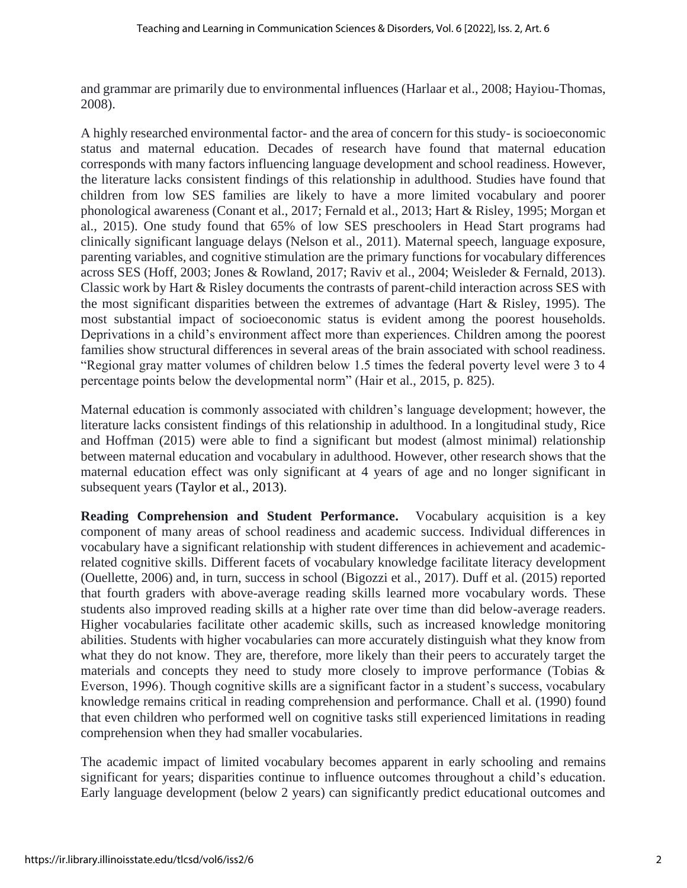and grammar are primarily due to environmental influences (Harlaar et al., 2008; Hayiou-Thomas, 2008).

A highly researched environmental factor- and the area of concern for this study- is socioeconomic status and maternal education. Decades of research have found that maternal education corresponds with many factors influencing language development and school readiness. However, the literature lacks consistent findings of this relationship in adulthood. Studies have found that children from low SES families are likely to have a more limited vocabulary and poorer phonological awareness (Conant et al., 2017; Fernald et al., 2013; Hart & Risley, 1995; Morgan et al., 2015). One study found that 65% of low SES preschoolers in Head Start programs had clinically significant language delays (Nelson et al., 2011). Maternal speech, language exposure, parenting variables, and cognitive stimulation are the primary functions for vocabulary differences across SES (Hoff, 2003; Jones & Rowland, 2017; Raviv et al., 2004; Weisleder & Fernald, 2013). Classic work by Hart & Risley documents the contrasts of parent-child interaction across SES with the most significant disparities between the extremes of advantage (Hart & Risley, 1995). The most substantial impact of socioeconomic status is evident among the poorest households. Deprivations in a child's environment affect more than experiences. Children among the poorest families show structural differences in several areas of the brain associated with school readiness. "Regional gray matter volumes of children below 1.5 times the federal poverty level were 3 to 4 percentage points below the developmental norm" (Hair et al., 2015, p. 825).

Maternal education is commonly associated with children's language development; however, the literature lacks consistent findings of this relationship in adulthood. In a longitudinal study, Rice and Hoffman (2015) were able to find a significant but modest (almost minimal) relationship between maternal education and vocabulary in adulthood. However, other research shows that the maternal education effect was only significant at 4 years of age and no longer significant in subsequent years (Taylor et al., 2013).

**Reading Comprehension and Student Performance.** Vocabulary acquisition is a key component of many areas of school readiness and academic success. Individual differences in vocabulary have a significant relationship with student differences in achievement and academicrelated cognitive skills. Different facets of vocabulary knowledge facilitate literacy development (Ouellette, 2006) and, in turn, success in school (Bigozzi et al., 2017). Duff et al. (2015) reported that fourth graders with above-average reading skills learned more vocabulary words. These students also improved reading skills at a higher rate over time than did below-average readers. Higher vocabularies facilitate other academic skills, such as increased knowledge monitoring abilities. Students with higher vocabularies can more accurately distinguish what they know from what they do not know. They are, therefore, more likely than their peers to accurately target the materials and concepts they need to study more closely to improve performance (Tobias  $\&$ Everson, 1996). Though cognitive skills are a significant factor in a student's success, vocabulary knowledge remains critical in reading comprehension and performance. Chall et al. (1990) found that even children who performed well on cognitive tasks still experienced limitations in reading comprehension when they had smaller vocabularies.

The academic impact of limited vocabulary becomes apparent in early schooling and remains significant for years; disparities continue to influence outcomes throughout a child's education. Early language development (below 2 years) can significantly predict educational outcomes and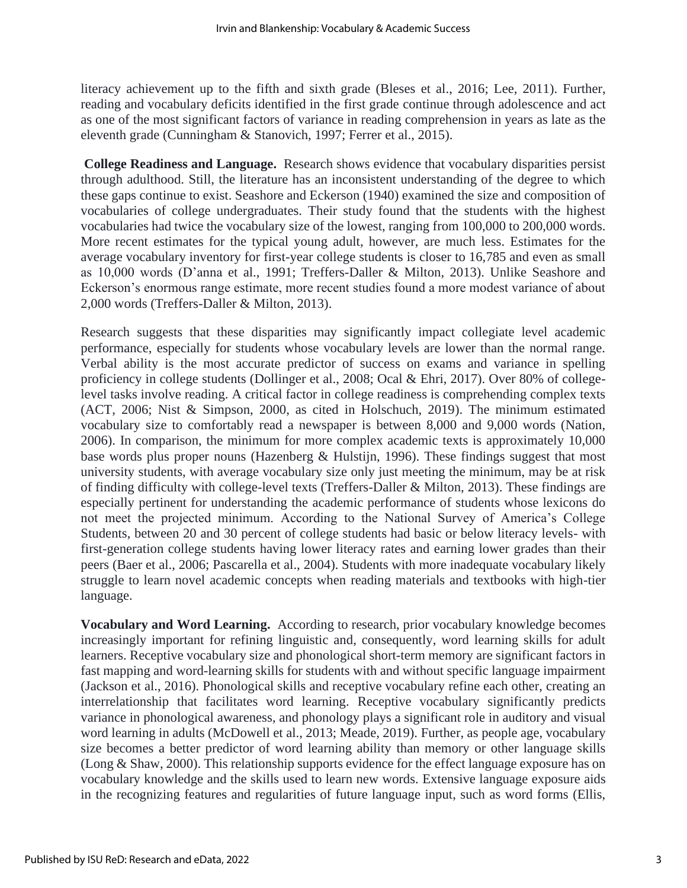literacy achievement up to the fifth and sixth grade (Bleses et al., 2016; Lee, 2011). Further, reading and vocabulary deficits identified in the first grade continue through adolescence and act as one of the most significant factors of variance in reading comprehension in years as late as the eleventh grade (Cunningham & Stanovich, 1997; Ferrer et al., 2015).

**College Readiness and Language.** Research shows evidence that vocabulary disparities persist through adulthood. Still, the literature has an inconsistent understanding of the degree to which these gaps continue to exist. Seashore and Eckerson (1940) examined the size and composition of vocabularies of college undergraduates. Their study found that the students with the highest vocabularies had twice the vocabulary size of the lowest, ranging from 100,000 to 200,000 words. More recent estimates for the typical young adult, however, are much less. Estimates for the average vocabulary inventory for first-year college students is closer to 16,785 and even as small as 10,000 words (D'anna et al., 1991; Treffers-Daller & Milton, 2013). Unlike Seashore and Eckerson's enormous range estimate, more recent studies found a more modest variance of about 2,000 words (Treffers-Daller & Milton, 2013).

Research suggests that these disparities may significantly impact collegiate level academic performance, especially for students whose vocabulary levels are lower than the normal range. Verbal ability is the most accurate predictor of success on exams and variance in spelling proficiency in college students (Dollinger et al., 2008; Ocal & Ehri, 2017). Over 80% of collegelevel tasks involve reading. A critical factor in college readiness is comprehending complex texts (ACT, 2006; Nist & Simpson, 2000, as cited in Holschuch, 2019). The minimum estimated vocabulary size to comfortably read a newspaper is between 8,000 and 9,000 words (Nation, 2006). In comparison, the minimum for more complex academic texts is approximately 10,000 base words plus proper nouns (Hazenberg & Hulstijn, 1996). These findings suggest that most university students, with average vocabulary size only just meeting the minimum, may be at risk of finding difficulty with college-level texts (Treffers-Daller & Milton, 2013). These findings are especially pertinent for understanding the academic performance of students whose lexicons do not meet the projected minimum. According to the National Survey of America's College Students, between 20 and 30 percent of college students had basic or below literacy levels- with first-generation college students having lower literacy rates and earning lower grades than their peers (Baer et al., 2006; Pascarella et al., 2004). Students with more inadequate vocabulary likely struggle to learn novel academic concepts when reading materials and textbooks with high-tier language.

**Vocabulary and Word Learning.** According to research, prior vocabulary knowledge becomes increasingly important for refining linguistic and, consequently, word learning skills for adult learners. Receptive vocabulary size and phonological short-term memory are significant factors in fast mapping and word-learning skills for students with and without specific language impairment (Jackson et al., 2016). Phonological skills and receptive vocabulary refine each other, creating an interrelationship that facilitates word learning. Receptive vocabulary significantly predicts variance in phonological awareness, and phonology plays a significant role in auditory and visual word learning in adults (McDowell et al., 2013; Meade, 2019). Further, as people age, vocabulary size becomes a better predictor of word learning ability than memory or other language skills (Long & Shaw, 2000). This relationship supports evidence for the effect language exposure has on vocabulary knowledge and the skills used to learn new words. Extensive language exposure aids in the recognizing features and regularities of future language input, such as word forms (Ellis,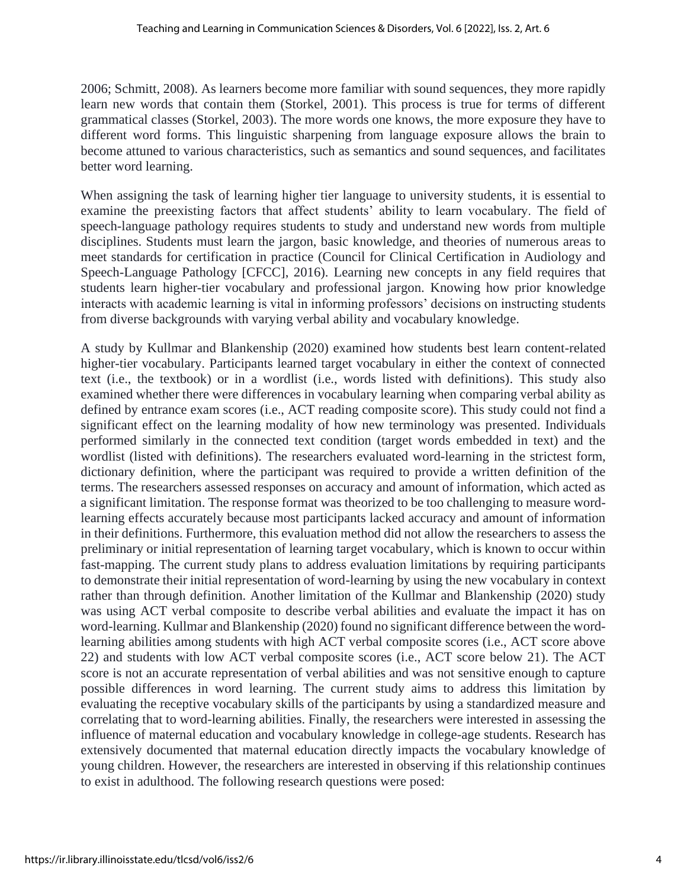2006; Schmitt, 2008). As learners become more familiar with sound sequences, they more rapidly learn new words that contain them (Storkel, 2001). This process is true for terms of different grammatical classes (Storkel, 2003). The more words one knows, the more exposure they have to different word forms. This linguistic sharpening from language exposure allows the brain to become attuned to various characteristics, such as semantics and sound sequences, and facilitates better word learning.

When assigning the task of learning higher tier language to university students, it is essential to examine the preexisting factors that affect students' ability to learn vocabulary. The field of speech-language pathology requires students to study and understand new words from multiple disciplines. Students must learn the jargon, basic knowledge, and theories of numerous areas to meet standards for certification in practice (Council for Clinical Certification in Audiology and Speech-Language Pathology [CFCC], 2016). Learning new concepts in any field requires that students learn higher-tier vocabulary and professional jargon. Knowing how prior knowledge interacts with academic learning is vital in informing professors' decisions on instructing students from diverse backgrounds with varying verbal ability and vocabulary knowledge.

A study by Kullmar and Blankenship (2020) examined how students best learn content-related higher-tier vocabulary. Participants learned target vocabulary in either the context of connected text (i.e., the textbook) or in a wordlist (i.e., words listed with definitions). This study also examined whether there were differences in vocabulary learning when comparing verbal ability as defined by entrance exam scores (i.e., ACT reading composite score). This study could not find a significant effect on the learning modality of how new terminology was presented. Individuals performed similarly in the connected text condition (target words embedded in text) and the wordlist (listed with definitions). The researchers evaluated word-learning in the strictest form, dictionary definition, where the participant was required to provide a written definition of the terms. The researchers assessed responses on accuracy and amount of information, which acted as a significant limitation. The response format was theorized to be too challenging to measure wordlearning effects accurately because most participants lacked accuracy and amount of information in their definitions. Furthermore, this evaluation method did not allow the researchers to assess the preliminary or initial representation of learning target vocabulary, which is known to occur within fast-mapping. The current study plans to address evaluation limitations by requiring participants to demonstrate their initial representation of word-learning by using the new vocabulary in context rather than through definition. Another limitation of the Kullmar and Blankenship (2020) study was using ACT verbal composite to describe verbal abilities and evaluate the impact it has on word-learning. Kullmar and Blankenship (2020) found no significant difference between the wordlearning abilities among students with high ACT verbal composite scores (i.e., ACT score above 22) and students with low ACT verbal composite scores (i.e., ACT score below 21). The ACT score is not an accurate representation of verbal abilities and was not sensitive enough to capture possible differences in word learning. The current study aims to address this limitation by evaluating the receptive vocabulary skills of the participants by using a standardized measure and correlating that to word-learning abilities. Finally, the researchers were interested in assessing the influence of maternal education and vocabulary knowledge in college-age students. Research has extensively documented that maternal education directly impacts the vocabulary knowledge of young children. However, the researchers are interested in observing if this relationship continues to exist in adulthood. The following research questions were posed: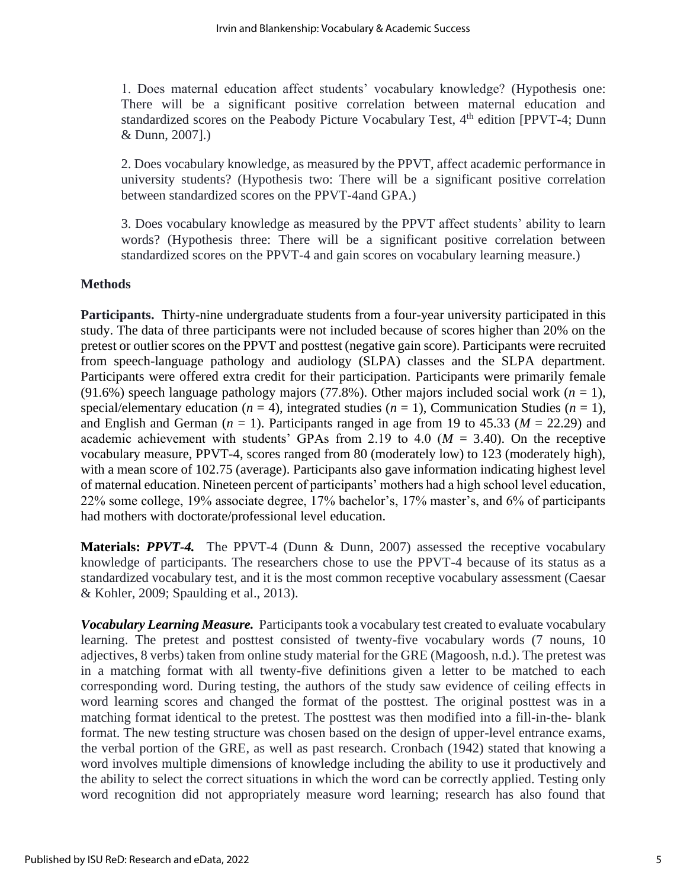1. Does maternal education affect students' vocabulary knowledge? (Hypothesis one: There will be a significant positive correlation between maternal education and standardized scores on the Peabody Picture Vocabulary Test, 4<sup>th</sup> edition [PPVT-4; Dunn & Dunn, 2007].)

2. Does vocabulary knowledge, as measured by the PPVT, affect academic performance in university students? (Hypothesis two: There will be a significant positive correlation between standardized scores on the PPVT-4and GPA.)

3. Does vocabulary knowledge as measured by the PPVT affect students' ability to learn words? (Hypothesis three: There will be a significant positive correlation between standardized scores on the PPVT-4 and gain scores on vocabulary learning measure.)

## **Methods**

**Participants.** Thirty-nine undergraduate students from a four-year university participated in this study. The data of three participants were not included because of scores higher than 20% on the pretest or outlier scores on the PPVT and posttest (negative gain score). Participants were recruited from speech-language pathology and audiology (SLPA) classes and the SLPA department. Participants were offered extra credit for their participation. Participants were primarily female (91.6%) speech language pathology majors (77.8%). Other majors included social work ( $n = 1$ ), special/elementary education  $(n = 4)$ , integrated studies  $(n = 1)$ , Communication Studies  $(n = 1)$ , and English and German ( $n = 1$ ). Participants ranged in age from 19 to 45.33 ( $M = 22.29$ ) and academic achievement with students' GPAs from 2.19 to 4.0 ( $M = 3.40$ ). On the receptive vocabulary measure, PPVT-4, scores ranged from 80 (moderately low) to 123 (moderately high), with a mean score of 102.75 (average). Participants also gave information indicating highest level of maternal education. Nineteen percent of participants' mothers had a high school level education, 22% some college, 19% associate degree, 17% bachelor's, 17% master's, and 6% of participants had mothers with doctorate/professional level education.

**Materials:** *PPVT-4*. The PPVT-4 (Dunn & Dunn, 2007) assessed the receptive vocabulary knowledge of participants. The researchers chose to use the PPVT-4 because of its status as a standardized vocabulary test, and it is the most common receptive vocabulary assessment (Caesar & Kohler, 2009; Spaulding et al., 2013).

*Vocabulary Learning Measure.* Participants took a vocabulary test created to evaluate vocabulary learning. The pretest and posttest consisted of twenty-five vocabulary words (7 nouns, 10 adjectives, 8 verbs) taken from online study material for the GRE (Magoosh, n.d.). The pretest was in a matching format with all twenty-five definitions given a letter to be matched to each corresponding word. During testing, the authors of the study saw evidence of ceiling effects in word learning scores and changed the format of the posttest. The original posttest was in a matching format identical to the pretest. The posttest was then modified into a fill-in-the- blank format. The new testing structure was chosen based on the design of upper-level entrance exams, the verbal portion of the GRE, as well as past research. Cronbach (1942) stated that knowing a word involves multiple dimensions of knowledge including the ability to use it productively and the ability to select the correct situations in which the word can be correctly applied. Testing only word recognition did not appropriately measure word learning; research has also found that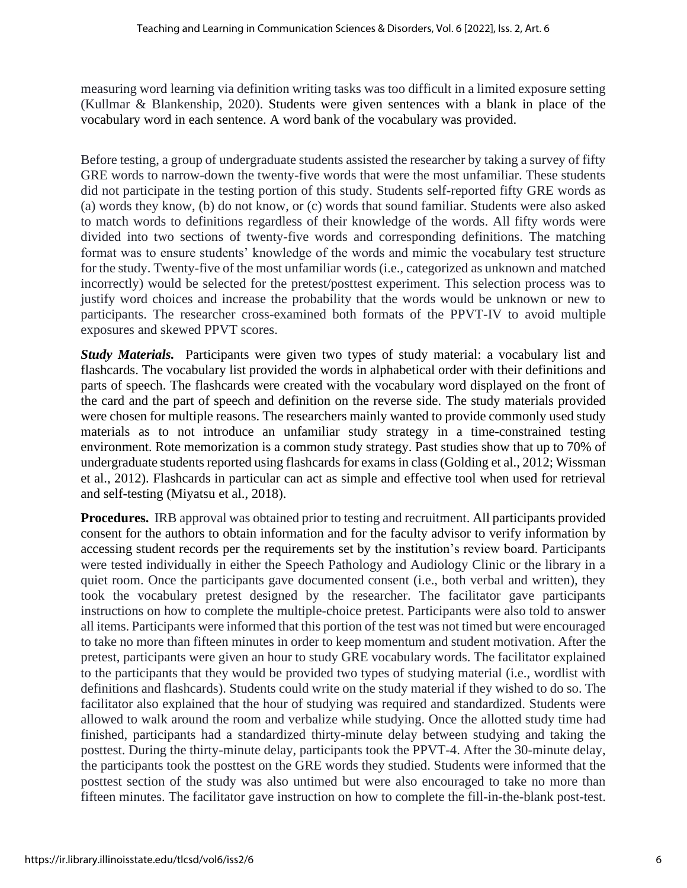measuring word learning via definition writing tasks was too difficult in a limited exposure setting (Kullmar & Blankenship, 2020). Students were given sentences with a blank in place of the vocabulary word in each sentence. A word bank of the vocabulary was provided.

Before testing, a group of undergraduate students assisted the researcher by taking a survey of fifty GRE words to narrow-down the twenty-five words that were the most unfamiliar. These students did not participate in the testing portion of this study. Students self-reported fifty GRE words as (a) words they know, (b) do not know, or (c) words that sound familiar. Students were also asked to match words to definitions regardless of their knowledge of the words. All fifty words were divided into two sections of twenty-five words and corresponding definitions. The matching format was to ensure students' knowledge of the words and mimic the vocabulary test structure for the study. Twenty-five of the most unfamiliar words (i.e., categorized as unknown and matched incorrectly) would be selected for the pretest/posttest experiment. This selection process was to justify word choices and increase the probability that the words would be unknown or new to participants. The researcher cross-examined both formats of the PPVT-IV to avoid multiple exposures and skewed PPVT scores.

*Study Materials.* Participants were given two types of study material: a vocabulary list and flashcards. The vocabulary list provided the words in alphabetical order with their definitions and parts of speech. The flashcards were created with the vocabulary word displayed on the front of the card and the part of speech and definition on the reverse side. The study materials provided were chosen for multiple reasons. The researchers mainly wanted to provide commonly used study materials as to not introduce an unfamiliar study strategy in a time-constrained testing environment. Rote memorization is a common study strategy. Past studies show that up to 70% of undergraduate students reported using flashcards for exams in class(Golding et al., 2012; Wissman et al., 2012). Flashcards in particular can act as simple and effective tool when used for retrieval and self-testing (Miyatsu et al., 2018).

**Procedures.** IRB approval was obtained prior to testing and recruitment. All participants provided consent for the authors to obtain information and for the faculty advisor to verify information by accessing student records per the requirements set by the institution's review board. Participants were tested individually in either the Speech Pathology and Audiology Clinic or the library in a quiet room. Once the participants gave documented consent (i.e., both verbal and written), they took the vocabulary pretest designed by the researcher. The facilitator gave participants instructions on how to complete the multiple-choice pretest. Participants were also told to answer all items. Participants were informed that this portion of the test was not timed but were encouraged to take no more than fifteen minutes in order to keep momentum and student motivation. After the pretest, participants were given an hour to study GRE vocabulary words. The facilitator explained to the participants that they would be provided two types of studying material (i.e., wordlist with definitions and flashcards). Students could write on the study material if they wished to do so. The facilitator also explained that the hour of studying was required and standardized. Students were allowed to walk around the room and verbalize while studying. Once the allotted study time had finished, participants had a standardized thirty-minute delay between studying and taking the posttest. During the thirty-minute delay, participants took the PPVT-4. After the 30-minute delay, the participants took the posttest on the GRE words they studied. Students were informed that the posttest section of the study was also untimed but were also encouraged to take no more than fifteen minutes. The facilitator gave instruction on how to complete the fill-in-the-blank post-test.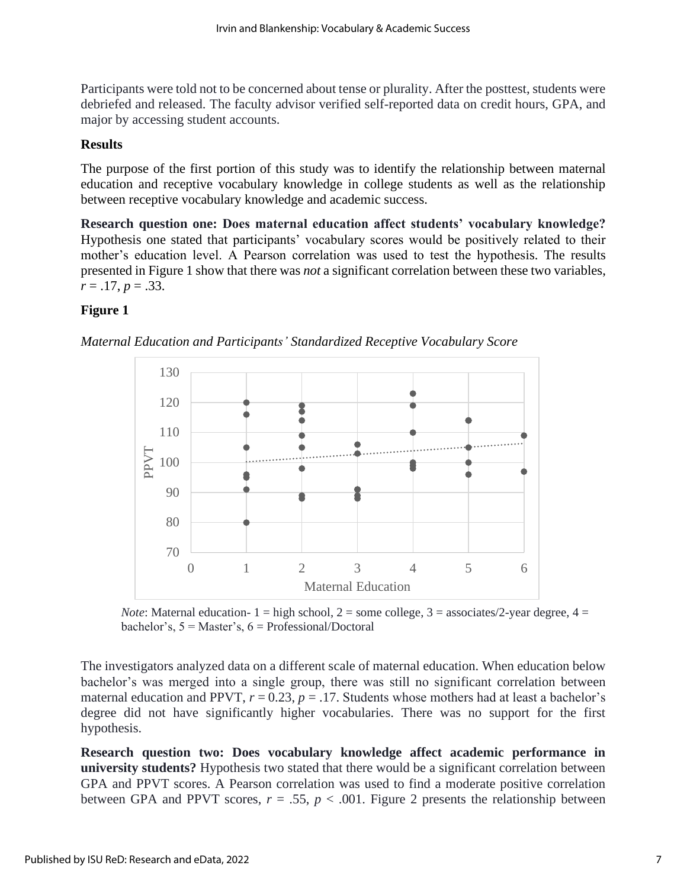Participants were told not to be concerned about tense or plurality. After the posttest, students were debriefed and released. The faculty advisor verified self-reported data on credit hours, GPA, and major by accessing student accounts.

## **Results**

The purpose of the first portion of this study was to identify the relationship between maternal education and receptive vocabulary knowledge in college students as well as the relationship between receptive vocabulary knowledge and academic success.

**Research question one: Does maternal education affect students' vocabulary knowledge?** Hypothesis one stated that participants' vocabulary scores would be positively related to their mother's education level. A Pearson correlation was used to test the hypothesis. The results presented in Figure 1 show that there was *not* a significant correlation between these two variables,  $r = .17$ ,  $p = .33$ .

# **Figure 1**





*Note*: Maternal education-  $1 =$  high school,  $2 =$  some college,  $3 =$  associates/2-year degree,  $4 =$ bachelor's,  $5 = Master's, 6 = Professional/Document$ 

The investigators analyzed data on a different scale of maternal education. When education below bachelor's was merged into a single group, there was still no significant correlation between maternal education and PPVT,  $r = 0.23$ ,  $p = .17$ . Students whose mothers had at least a bachelor's degree did not have significantly higher vocabularies. There was no support for the first hypothesis.

**Research question two: Does vocabulary knowledge affect academic performance in university students?** Hypothesis two stated that there would be a significant correlation between GPA and PPVT scores. A Pearson correlation was used to find a moderate positive correlation between GPA and PPVT scores,  $r = .55$ ,  $p < .001$ . Figure 2 presents the relationship between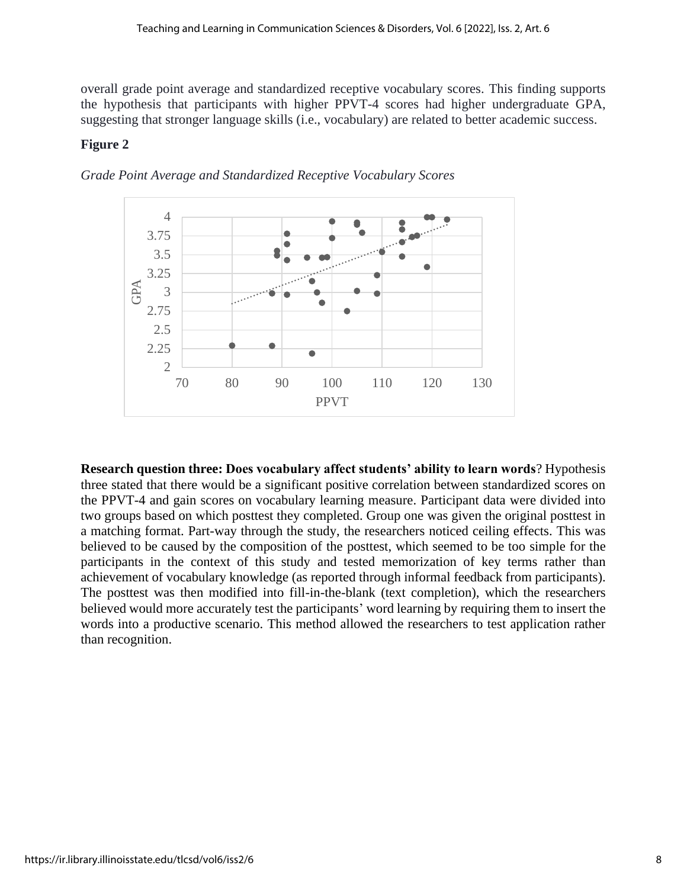overall grade point average and standardized receptive vocabulary scores. This finding supports the hypothesis that participants with higher PPVT-4 scores had higher undergraduate GPA, suggesting that stronger language skills (i.e., vocabulary) are related to better academic success.

# **Figure 2**



*Grade Point Average and Standardized Receptive Vocabulary Scores*

**Research question three: Does vocabulary affect students' ability to learn words**? Hypothesis three stated that there would be a significant positive correlation between standardized scores on the PPVT-4 and gain scores on vocabulary learning measure. Participant data were divided into two groups based on which posttest they completed. Group one was given the original posttest in a matching format. Part-way through the study, the researchers noticed ceiling effects. This was believed to be caused by the composition of the posttest, which seemed to be too simple for the participants in the context of this study and tested memorization of key terms rather than achievement of vocabulary knowledge (as reported through informal feedback from participants). The posttest was then modified into fill-in-the-blank (text completion), which the researchers believed would more accurately test the participants' word learning by requiring them to insert the words into a productive scenario. This method allowed the researchers to test application rather than recognition.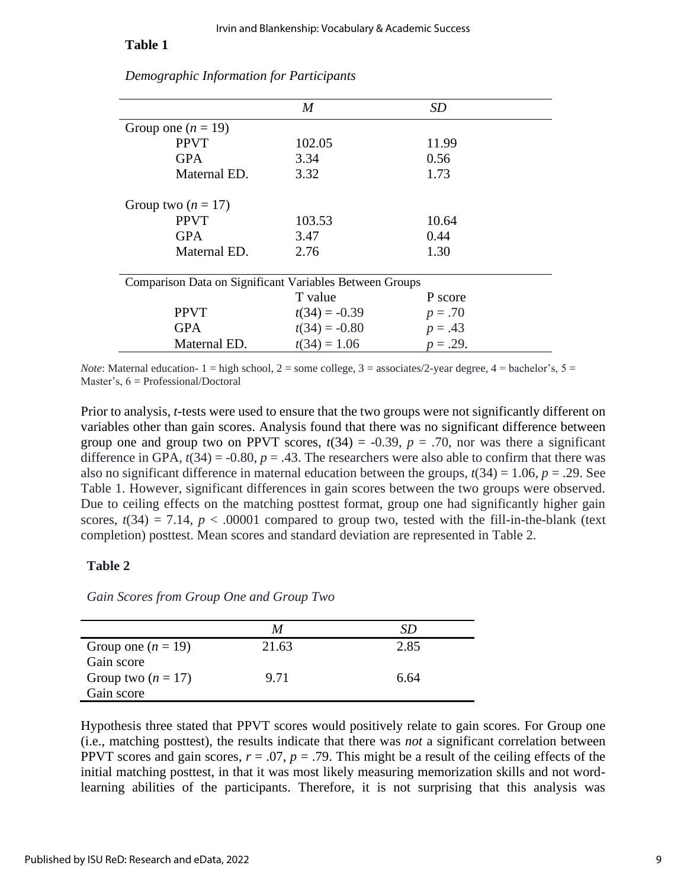#### **Table 1**

|                                                         | $\boldsymbol{M}$ | SD          |  |  |
|---------------------------------------------------------|------------------|-------------|--|--|
| Group one $(n = 19)$                                    |                  |             |  |  |
| <b>PPVT</b>                                             | 102.05           | 11.99       |  |  |
| <b>GPA</b>                                              | 3.34             | 0.56        |  |  |
| Maternal ED.                                            | 3.32             | 1.73        |  |  |
| Group two $(n = 17)$                                    |                  |             |  |  |
| <b>PPVT</b>                                             | 103.53           | 10.64       |  |  |
| <b>GPA</b>                                              | 3.47             | 0.44        |  |  |
| Maternal ED.                                            | 2.76             | 1.30        |  |  |
| Comparison Data on Significant Variables Between Groups |                  |             |  |  |
|                                                         | T value          | P score     |  |  |
| <b>PPVT</b>                                             | $t(34) = -0.39$  | $p = .70$   |  |  |
| <b>GPA</b>                                              | $t(34) = -0.80$  | $p = .43$   |  |  |
| Maternal ED.                                            | $t(34) = 1.06$   | $p = .29$ . |  |  |

*Demographic Information for Participants*

*Note*: Maternal education-  $1 =$  high school,  $2 =$  some college,  $3 =$  associates/2-year degree,  $4 =$  bachelor's,  $5 =$ Master's, 6 = Professional/Doctoral

Prior to analysis, *t*-tests were used to ensure that the two groups were not significantly different on variables other than gain scores. Analysis found that there was no significant difference between group one and group two on PPVT scores,  $t(34) = -0.39$ ,  $p = .70$ , nor was there a significant difference in GPA,  $t(34) = -0.80$ ,  $p = .43$ . The researchers were also able to confirm that there was also no significant difference in maternal education between the groups,  $t(34) = 1.06$ ,  $p = .29$ . See Table 1. However, significant differences in gain scores between the two groups were observed. Due to ceiling effects on the matching posttest format, group one had significantly higher gain scores,  $t(34) = 7.14$ ,  $p < .00001$  compared to group two, tested with the fill-in-the-blank (text completion) posttest. Mean scores and standard deviation are represented in Table 2.

#### **Table 2**

*Gain Scores from Group One and Group Two*

|                      |       | SD   |
|----------------------|-------|------|
| Group one $(n = 19)$ | 21.63 | 2.85 |
| Gain score           |       |      |
| Group two $(n = 17)$ | 9.71  | 6.64 |
| Gain score           |       |      |

Hypothesis three stated that PPVT scores would positively relate to gain scores. For Group one (i.e., matching posttest), the results indicate that there was *not* a significant correlation between PPVT scores and gain scores,  $r = .07$ ,  $p = .79$ . This might be a result of the ceiling effects of the initial matching posttest, in that it was most likely measuring memorization skills and not wordlearning abilities of the participants. Therefore, it is not surprising that this analysis was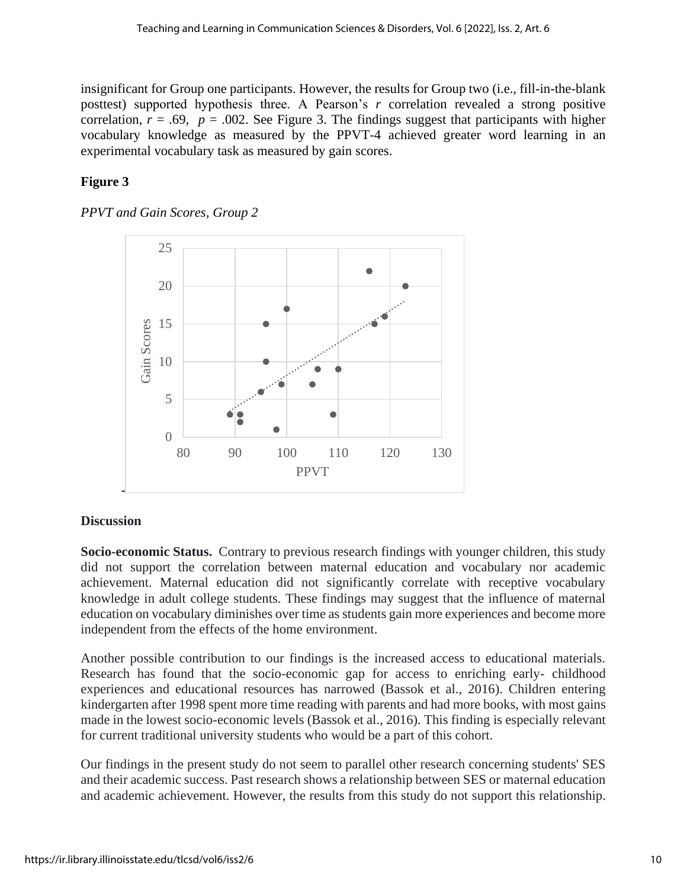insignificant for Group one participants. However, the results for Group two (i.e., fill-in-the-blank posttest) supported hypothesis three. A Pearson's *r* correlation revealed a strong positive correlation,  $r = .69$ ,  $p = .002$ . See Figure 3. The findings suggest that participants with higher vocabulary knowledge as measured by the PPVT-4 achieved greater word learning in an experimental vocabulary task as measured by gain scores.

# **Figure 3**

## *PPVT and Gain Scores, Group 2*



## **Discussion**

**Socio-economic Status.** Contrary to previous research findings with younger children, this study did not support the correlation between maternal education and vocabulary nor academic achievement. Maternal education did not significantly correlate with receptive vocabulary knowledge in adult college students. These findings may suggest that the influence of maternal education on vocabulary diminishes over time as students gain more experiences and become more independent from the effects of the home environment.

Another possible contribution to our findings is the increased access to educational materials. Research has found that the socio-economic gap for access to enriching early- childhood experiences and educational resources has narrowed (Bassok et al., 2016). Children entering kindergarten after 1998 spent more time reading with parents and had more books, with most gains made in the lowest socio-economic levels (Bassok et al., 2016). This finding is especially relevant for current traditional university students who would be a part of this cohort.

Our findings in the present study do not seem to parallel other research concerning students' SES and their academic success. Past research shows a relationship between SES or maternal education and academic achievement. However, the results from this study do not support this relationship.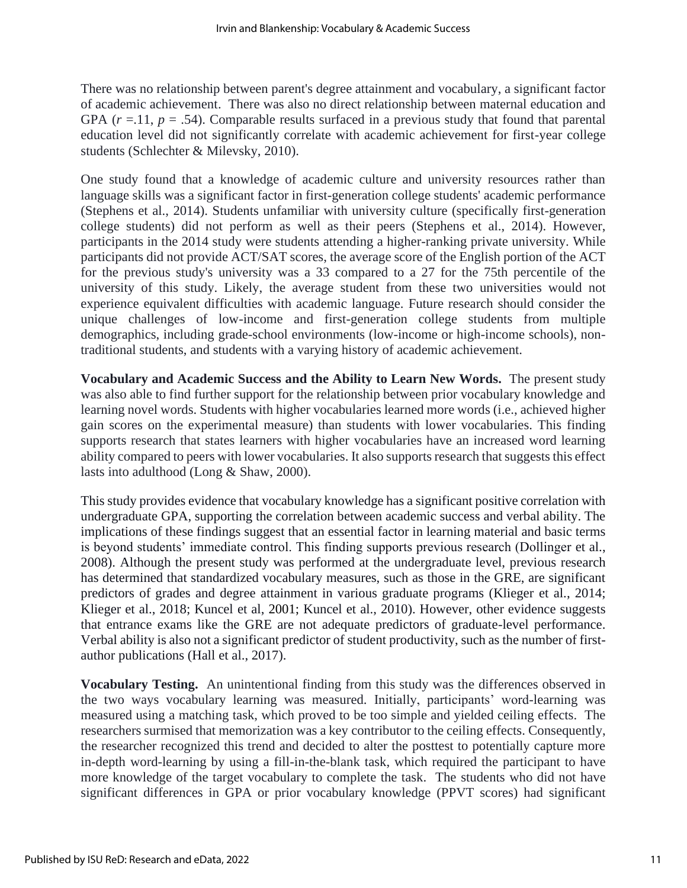There was no relationship between parent's degree attainment and vocabulary, a significant factor of academic achievement. There was also no direct relationship between maternal education and GPA  $(r = 11, p = .54)$ . Comparable results surfaced in a previous study that found that parental education level did not significantly correlate with academic achievement for first-year college students (Schlechter & Milevsky, 2010).

One study found that a knowledge of academic culture and university resources rather than language skills was a significant factor in first-generation college students' academic performance (Stephens et al., 2014). Students unfamiliar with university culture (specifically first-generation college students) did not perform as well as their peers (Stephens et al., 2014). However, participants in the 2014 study were students attending a higher-ranking private university. While participants did not provide ACT/SAT scores, the average score of the English portion of the ACT for the previous study's university was a 33 compared to a 27 for the 75th percentile of the university of this study. Likely, the average student from these two universities would not experience equivalent difficulties with academic language. Future research should consider the unique challenges of low-income and first-generation college students from multiple demographics, including grade-school environments (low-income or high-income schools), nontraditional students, and students with a varying history of academic achievement.

**Vocabulary and Academic Success and the Ability to Learn New Words.** The present study was also able to find further support for the relationship between prior vocabulary knowledge and learning novel words. Students with higher vocabularies learned more words (i.e., achieved higher gain scores on the experimental measure) than students with lower vocabularies. This finding supports research that states learners with higher vocabularies have an increased word learning ability compared to peers with lower vocabularies. It also supports research that suggests this effect lasts into adulthood (Long & Shaw, 2000).

This study provides evidence that vocabulary knowledge has a significant positive correlation with undergraduate GPA, supporting the correlation between academic success and verbal ability. The implications of these findings suggest that an essential factor in learning material and basic terms is beyond students' immediate control. This finding supports previous research (Dollinger et al., 2008). Although the present study was performed at the undergraduate level, previous research has determined that standardized vocabulary measures, such as those in the GRE, are significant predictors of grades and degree attainment in various graduate programs (Klieger et al., 2014; Klieger et al., 2018; Kuncel et al, 2001; Kuncel et al., 2010). However, other evidence suggests that entrance exams like the GRE are not adequate predictors of graduate-level performance. Verbal ability is also not a significant predictor of student productivity, such as the number of firstauthor publications (Hall et al., 2017).

**Vocabulary Testing.** An unintentional finding from this study was the differences observed in the two ways vocabulary learning was measured. Initially, participants' word-learning was measured using a matching task, which proved to be too simple and yielded ceiling effects. The researchers surmised that memorization was a key contributor to the ceiling effects. Consequently, the researcher recognized this trend and decided to alter the posttest to potentially capture more in-depth word-learning by using a fill-in-the-blank task, which required the participant to have more knowledge of the target vocabulary to complete the task. The students who did not have significant differences in GPA or prior vocabulary knowledge (PPVT scores) had significant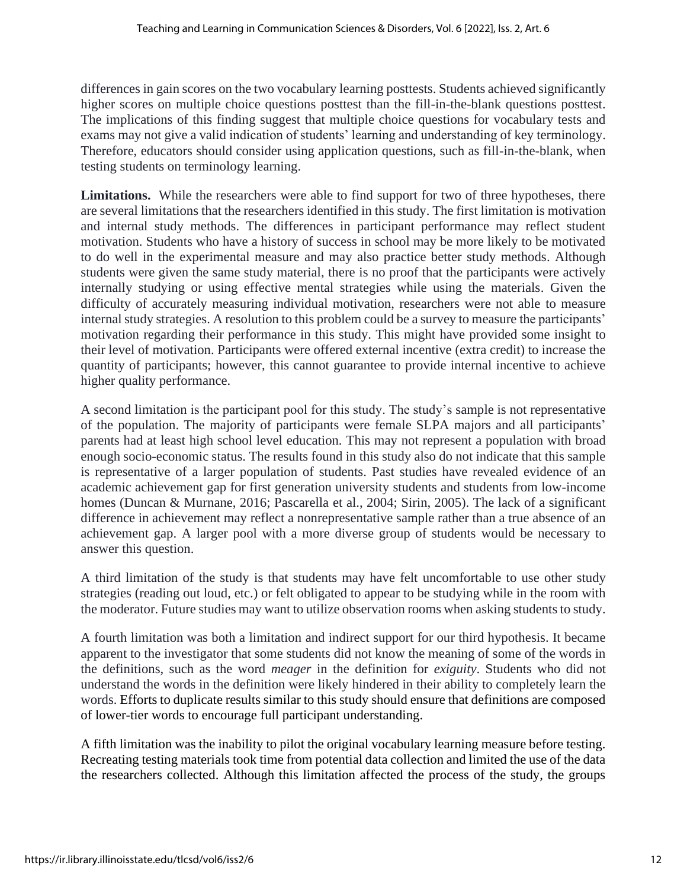differences in gain scores on the two vocabulary learning posttests. Students achieved significantly higher scores on multiple choice questions posttest than the fill-in-the-blank questions posttest. The implications of this finding suggest that multiple choice questions for vocabulary tests and exams may not give a valid indication of students' learning and understanding of key terminology. Therefore, educators should consider using application questions, such as fill-in-the-blank, when testing students on terminology learning.

**Limitations.** While the researchers were able to find support for two of three hypotheses, there are several limitations that the researchers identified in this study. The first limitation is motivation and internal study methods. The differences in participant performance may reflect student motivation. Students who have a history of success in school may be more likely to be motivated to do well in the experimental measure and may also practice better study methods. Although students were given the same study material, there is no proof that the participants were actively internally studying or using effective mental strategies while using the materials. Given the difficulty of accurately measuring individual motivation, researchers were not able to measure internal study strategies. A resolution to this problem could be a survey to measure the participants' motivation regarding their performance in this study. This might have provided some insight to their level of motivation. Participants were offered external incentive (extra credit) to increase the quantity of participants; however, this cannot guarantee to provide internal incentive to achieve higher quality performance.

A second limitation is the participant pool for this study. The study's sample is not representative of the population. The majority of participants were female SLPA majors and all participants' parents had at least high school level education. This may not represent a population with broad enough socio-economic status. The results found in this study also do not indicate that this sample is representative of a larger population of students. Past studies have revealed evidence of an academic achievement gap for first generation university students and students from low-income homes (Duncan & Murnane, 2016; Pascarella et al., 2004; Sirin, 2005). The lack of a significant difference in achievement may reflect a nonrepresentative sample rather than a true absence of an achievement gap. A larger pool with a more diverse group of students would be necessary to answer this question.

A third limitation of the study is that students may have felt uncomfortable to use other study strategies (reading out loud, etc.) or felt obligated to appear to be studying while in the room with the moderator. Future studies may want to utilize observation rooms when asking students to study.

A fourth limitation was both a limitation and indirect support for our third hypothesis. It became apparent to the investigator that some students did not know the meaning of some of the words in the definitions, such as the word *meager* in the definition for *exiguity*. Students who did not understand the words in the definition were likely hindered in their ability to completely learn the words. Efforts to duplicate results similar to this study should ensure that definitions are composed of lower-tier words to encourage full participant understanding.

A fifth limitation was the inability to pilot the original vocabulary learning measure before testing. Recreating testing materials took time from potential data collection and limited the use of the data the researchers collected. Although this limitation affected the process of the study, the groups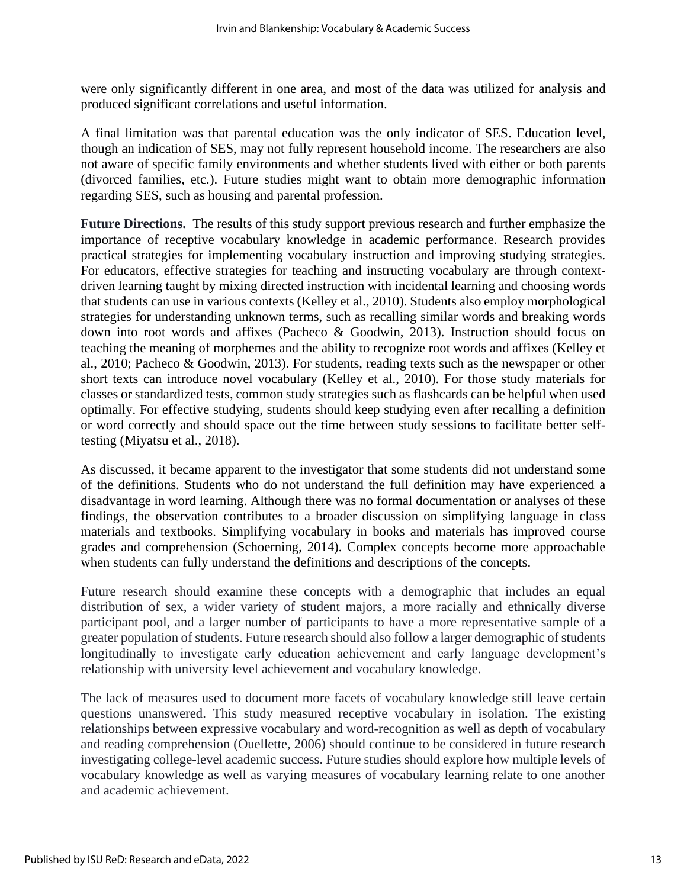were only significantly different in one area, and most of the data was utilized for analysis and produced significant correlations and useful information.

A final limitation was that parental education was the only indicator of SES. Education level, though an indication of SES, may not fully represent household income. The researchers are also not aware of specific family environments and whether students lived with either or both parents (divorced families, etc.). Future studies might want to obtain more demographic information regarding SES, such as housing and parental profession.

**Future Directions.** The results of this study support previous research and further emphasize the importance of receptive vocabulary knowledge in academic performance. Research provides practical strategies for implementing vocabulary instruction and improving studying strategies. For educators, effective strategies for teaching and instructing vocabulary are through contextdriven learning taught by mixing directed instruction with incidental learning and choosing words that students can use in various contexts (Kelley et al., 2010). Students also employ morphological strategies for understanding unknown terms, such as recalling similar words and breaking words down into root words and affixes (Pacheco & Goodwin, 2013). Instruction should focus on teaching the meaning of morphemes and the ability to recognize root words and affixes (Kelley et al., 2010; Pacheco & Goodwin, 2013). For students, reading texts such as the newspaper or other short texts can introduce novel vocabulary (Kelley et al., 2010). For those study materials for classes or standardized tests, common study strategies such as flashcards can be helpful when used optimally. For effective studying, students should keep studying even after recalling a definition or word correctly and should space out the time between study sessions to facilitate better selftesting (Miyatsu et al., 2018).

As discussed, it became apparent to the investigator that some students did not understand some of the definitions. Students who do not understand the full definition may have experienced a disadvantage in word learning. Although there was no formal documentation or analyses of these findings, the observation contributes to a broader discussion on simplifying language in class materials and textbooks. Simplifying vocabulary in books and materials has improved course grades and comprehension (Schoerning, 2014). Complex concepts become more approachable when students can fully understand the definitions and descriptions of the concepts.

Future research should examine these concepts with a demographic that includes an equal distribution of sex, a wider variety of student majors, a more racially and ethnically diverse participant pool, and a larger number of participants to have a more representative sample of a greater population of students. Future research should also follow a larger demographic of students longitudinally to investigate early education achievement and early language development's relationship with university level achievement and vocabulary knowledge.

The lack of measures used to document more facets of vocabulary knowledge still leave certain questions unanswered. This study measured receptive vocabulary in isolation. The existing relationships between expressive vocabulary and word-recognition as well as depth of vocabulary and reading comprehension (Ouellette, 2006) should continue to be considered in future research investigating college-level academic success. Future studies should explore how multiple levels of vocabulary knowledge as well as varying measures of vocabulary learning relate to one another and academic achievement.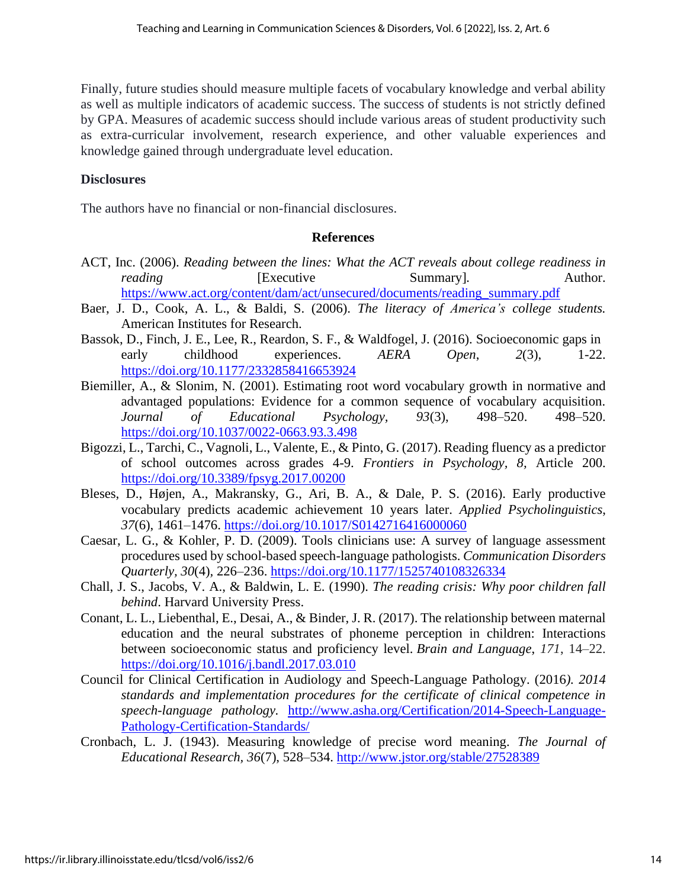Finally, future studies should measure multiple facets of vocabulary knowledge and verbal ability as well as multiple indicators of academic success. The success of students is not strictly defined by GPA. Measures of academic success should include various areas of student productivity such as extra-curricular involvement, research experience, and other valuable experiences and knowledge gained through undergraduate level education.

## **Disclosures**

The authors have no financial or non-financial disclosures.

### **References**

- ACT, Inc. (2006). *Reading between the lines: What the ACT reveals about college readiness in reading* **Executive Executive** Summary<sup>*]*</sup>. Author. [https://www.act.org/content/dam/act/unsecured/documents/reading\\_summary.pdf](https://www.act.org/content/dam/act/unsecured/documents/reading_summary.pdf)
- Baer, J. D., Cook, A. L., & Baldi, S. (2006). *The literacy of America's college students.* American Institutes for Research.
- Bassok, D., Finch, J. E., Lee, R., Reardon, S. F., & Waldfogel, J. (2016). Socioeconomic gaps in early childhood experiences. *AERA Open*, *2*(3), 1-22. <https://doi.org/10.1177/2332858416653924>
- Biemiller, A., & Slonim, N. (2001). Estimating root word vocabulary growth in normative and advantaged populations: Evidence for a common sequence of vocabulary acquisition. *Journal of Educational Psychology, 93*(3), 498–520. 498–520. <https://doi.org/10.1037/0022-0663.93.3.498>
- Bigozzi, L., Tarchi, C., Vagnoli, L., Valente, E., & Pinto, G. (2017). Reading fluency as a predictor of school outcomes across grades 4-9. *Frontiers in Psychology, 8,* Article 200. <https://doi.org/10.3389/fpsyg.2017.00200>
- Bleses, D., Højen, A., Makransky, G., Ari, B. A., & Dale, P. S. (2016). Early productive vocabulary predicts academic achievement 10 years later. *Applied Psycholinguistics*, *37*(6), 1461–1476.<https://doi.org/10.1017/S0142716416000060>
- Caesar, L. G., & Kohler, P. D. (2009). Tools clinicians use: A survey of language assessment procedures used by school-based speech-language pathologists. *Communication Disorders Quarterly, 30*(4)*,* 226–236. <https://doi.org/10.1177/1525740108326334>
- Chall, J. S., Jacobs, V. A., & Baldwin, L. E. (1990). *The reading crisis: Why poor children fall behind*. Harvard University Press.
- Conant, L. L., Liebenthal, E., Desai, A., & Binder, J. R. (2017). The relationship between maternal education and the neural substrates of phoneme perception in children: Interactions between socioeconomic status and proficiency level. *Brain and Language*, *171*, 14–22. <https://doi.org/10.1016/j.bandl.2017.03.010>
- Council for Clinical Certification in Audiology and Speech-Language Pathology. (2016*). 2014 standards and implementation procedures for the certificate of clinical competence in speech-language pathology.* [http://www.asha.org/Certification/2014-Speech-Language-](http://www.asha.org/Certification/2014-Speech-Language-Pathology-Certification-Standards/)[Pathology-Certification-Standards/](http://www.asha.org/Certification/2014-Speech-Language-Pathology-Certification-Standards/)
- Cronbach, L. J. (1943). Measuring knowledge of precise word meaning. *The Journal of Educational Research, 36*(7), 528–534. <http://www.jstor.org/stable/27528389>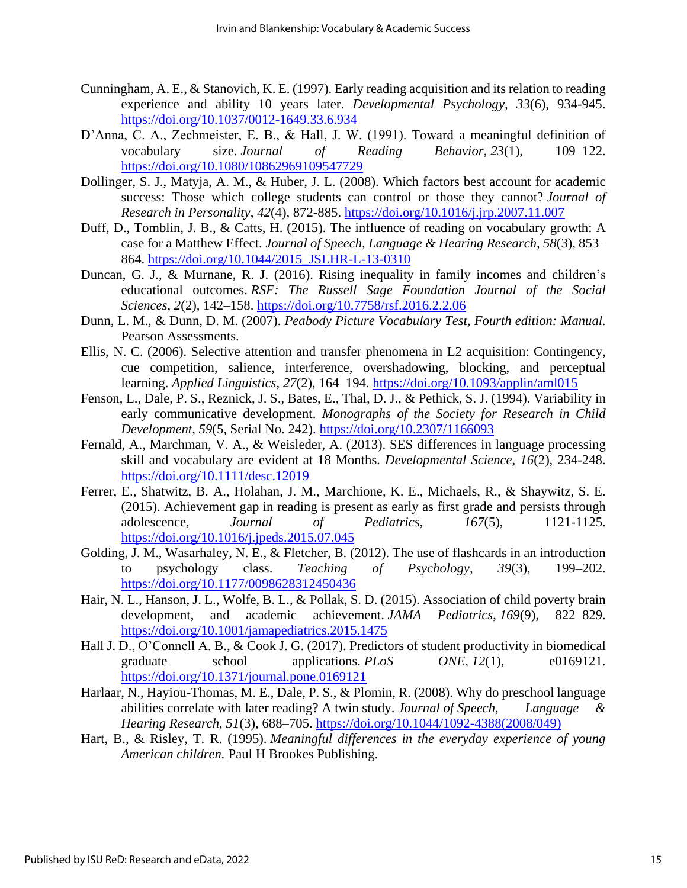- Cunningham, A. E., & Stanovich, K. E. (1997). Early reading acquisition and its relation to reading experience and ability 10 years later. *Developmental Psychology, 33*(6), 934-945. <https://doi.org/10.1037/0012-1649.33.6.934>
- D'Anna, C. A., Zechmeister, E. B., & Hall, J. W. (1991). Toward a meaningful definition of vocabulary size. *Journal of Reading Behavior*, *23*(1), 109–122. <https://doi.org/10.1080/10862969109547729>
- Dollinger, S. J., Matyja, A. M., & Huber, J. L. (2008). Which factors best account for academic success: Those which college students can control or those they cannot? *Journal of Research in Personality*, *42*(4), 872-885. <https://doi.org/10.1016/j.jrp.2007.11.007>
- Duff, D., Tomblin, J. B., & Catts, H. (2015). The influence of reading on vocabulary growth: A case for a Matthew Effect. *Journal of Speech, Language & Hearing Research, 58*(3), 853– 864. [https://doi.org/10.1044/2015\\_JSLHR-L-13-0310](https://doi.org/10.1044/2015_JSLHR-L-13-0310)
- Duncan, G. J., & Murnane, R. J. (2016). Rising inequality in family incomes and children's educational outcomes. *RSF: The Russell Sage Foundation Journal of the Social Sciences*, *2*(2), 142–158. <https://doi.org/10.7758/rsf.2016.2.2.06>
- Dunn, L. M., & Dunn, D. M. (2007). *Peabody Picture Vocabulary Test, Fourth edition: Manual.* Pearson Assessments.
- Ellis, N. C. (2006). Selective attention and transfer phenomena in L2 acquisition: Contingency, cue competition, salience, interference, overshadowing, blocking, and perceptual learning. *Applied Linguistics*, *27*(2), 164–194. <https://doi.org/10.1093/applin/aml015>
- Fenson, L., Dale, P. S., Reznick, J. S., Bates, E., Thal, D. J., & Pethick, S. J. (1994). Variability in early communicative development. *Monographs of the Society for Research in Child Development, 59*(5, Serial No. 242). <https://doi.org/10.2307/1166093>
- Fernald, A., Marchman, V. A., & Weisleder, A. (2013). SES differences in language processing skill and vocabulary are evident at 18 Months. *Developmental Science, 16*(2), 234-248. <https://doi.org/10.1111/desc.12019>
- Ferrer, E., Shatwitz, B. A., Holahan, J. M., Marchione, K. E., Michaels, R., & Shaywitz, S. E. (2015). Achievement gap in reading is present as early as first grade and persists through adolescence*, Journal of Pediatrics*, *167*(5), 1121-1125. <https://doi.org/10.1016/j.jpeds.2015.07.045>
- Golding, J. M., Wasarhaley, N. E., & Fletcher, B. (2012). The use of flashcards in an introduction to psychology class. *Teaching of Psychology, 39*(3), 199–202. <https://doi.org/10.1177/0098628312450436>
- Hair, N. L., Hanson, J. L., Wolfe, B. L., & Pollak, S. D. (2015). Association of child poverty brain development, and academic achievement. *JAMA Pediatrics*, *169*(9), 822–829. <https://doi.org/10.1001/jamapediatrics.2015.1475>
- Hall J. D., O'Connell A. B., & Cook J. G. (2017). Predictors of student productivity in biomedical graduate school applications. *PLoS ONE*, *12*(1), e0169121. <https://doi.org/10.1371/journal.pone.0169121>
- Harlaar, N., Hayiou-Thomas, M. E., Dale, P. S., & Plomin, R. (2008). Why do preschool language abilities correlate with later reading? A twin study. *Journal of Speech, Language & Hearing Research, 51*(3), 688–705. [https://doi.org/10.1044/1092-4388\(2008/049\)](https://doi.org/10.1044/1092-4388(2008/049))
- Hart, B., & Risley, T. R. (1995). *Meaningful differences in the everyday experience of young American children.* Paul H Brookes Publishing.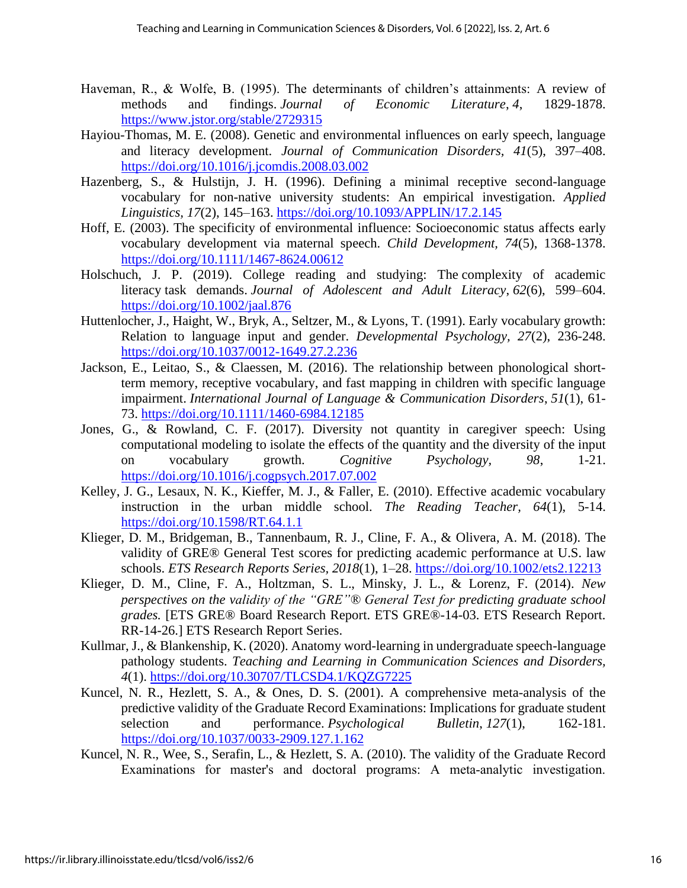- Haveman, R., & Wolfe, B. (1995). The determinants of children's attainments: A review of methods and findings. *Journal of Economic Literature*, *4*, 1829-1878. <https://www.jstor.org/stable/2729315>
- Hayiou-Thomas, M. E. (2008). Genetic and environmental influences on early speech, language and literacy development. *Journal of Communication Disorders, 41*(5), 397–408. <https://doi.org/10.1016/j.jcomdis.2008.03.002>
- Hazenberg, S., & Hulstijn, J. H. (1996). Defining a minimal receptive second-language vocabulary for non-native university students: An empirical investigation. *Applied Linguistics, 17*(2), 145–163.<https://doi.org/10.1093/APPLIN/17.2.145>
- Hoff, E. (2003). The specificity of environmental influence: Socioeconomic status affects early vocabulary development via maternal speech. *Child Development, 74*(5), 1368-1378. <https://doi.org/10.1111/1467-8624.00612>
- Holschuch, J. P. (2019). College reading and studying: The complexity of academic literacy task demands. *Journal of Adolescent and Adult Literacy*, *62*(6), 599–604. <https://doi.org/10.1002/jaal.876>
- Huttenlocher, J., Haight, W., Bryk, A., Seltzer, M., & Lyons, T. (1991). Early vocabulary growth: Relation to language input and gender. *Developmental Psychology, 27*(2), 236-248. <https://doi.org/10.1037/0012-1649.27.2.236>
- Jackson, E., Leitao, S., & Claessen, M. (2016). The relationship between phonological shortterm memory, receptive vocabulary, and fast mapping in children with specific language impairment. *International Journal of Language & Communication Disorders*, *51*(1), 61- 73.<https://doi.org/10.1111/1460-6984.12185>
- Jones, G., & Rowland, C. F. (2017). Diversity not quantity in caregiver speech: Using computational modeling to isolate the effects of the quantity and the diversity of the input on vocabulary growth. *Cognitive Psychology, 98*, 1-21. <https://doi.org/10.1016/j.cogpsych.2017.07.002>
- Kelley, J. G., Lesaux, N. K., Kieffer, M. J., & Faller, E. (2010). Effective academic vocabulary instruction in the urban middle school. *The Reading Teacher, 64*(1), 5-14. <https://doi.org/10.1598/RT.64.1.1>
- Klieger, D. M., Bridgeman, B., Tannenbaum, R. J., Cline, F. A., & Olivera, A. M. (2018). The validity of GRE® General Test scores for predicting academic performance at U.S. law schools. *ETS Research Reports Series, 2018*(1), 1–28. <https://doi.org/10.1002/ets2.12213>
- Klieger, D. M., Cline, F. A., Holtzman, S. L., Minsky, J. L., & Lorenz, F. (2014). *New perspectives on the validity of the "GRE"® General Test for predicting graduate school grades.* [ETS GRE® Board Research Report. ETS GRE®-14-03. ETS Research Report. RR-14-26.] ETS Research Report Series.
- Kullmar, J., & Blankenship, K. (2020). Anatomy word-learning in undergraduate speech-language pathology students. *Teaching and Learning in Communication Sciences and Disorders, 4*(1). <https://doi.org/10.30707/TLCSD4.1/KQZG7225>
- Kuncel, N. R., Hezlett, S. A., & Ones, D. S. (2001). A comprehensive meta-analysis of the predictive validity of the Graduate Record Examinations: Implications for graduate student selection and performance. *Psychological Bulletin*, *127*(1), 162-181. <https://doi.org/10.1037/0033-2909.127.1.162>
- Kuncel, N. R., Wee, S., Serafin, L., & Hezlett, S. A. (2010). The validity of the Graduate Record Examinations for master's and doctoral programs: A meta-analytic investigation.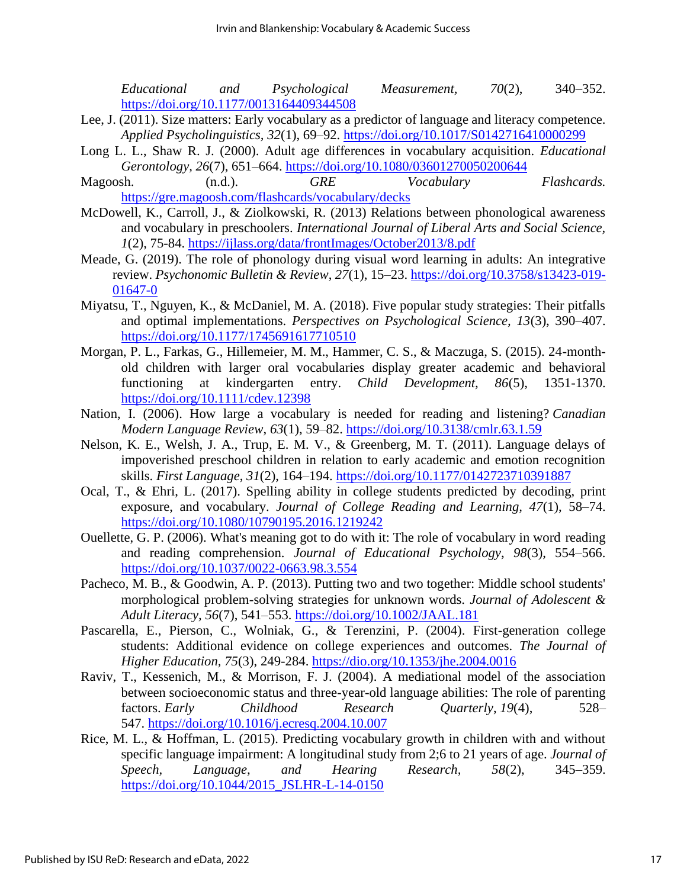*Educational and Psychological Measurement, 70*(2), 340–352. <https://doi.org/10.1177/0013164409344508>

- Lee, J. (2011). Size matters: Early vocabulary as a predictor of language and literacy competence. *Applied Psycholinguistics, 32*(1), 69–92. <https://doi.org/10.1017/S0142716410000299>
- Long L. L., Shaw R. J. (2000). Adult age differences in vocabulary acquisition. *Educational Gerontology, 26*(7), 651–664.<https://doi.org/10.1080/03601270050200644>
- Magoosh. (n.d.). *GRE Vocabulary Flashcards.* <https://gre.magoosh.com/flashcards/vocabulary/decks>
- McDowell, K., Carroll, J., & Ziolkowski, R. (2013) Relations between phonological awareness and vocabulary in preschoolers. *International Journal of Liberal Arts and Social Science, 1*(2), 75-84. <https://ijlass.org/data/frontImages/October2013/8.pdf>
- Meade, G. (2019). The role of phonology during visual word learning in adults: An integrative review. *Psychonomic Bulletin & Review*, *27*(1), 15–23. [https://doi.org/10.3758/s13423-019-](https://doi.org/10.3758/s13423-019-01647-0) [01647-0](https://doi.org/10.3758/s13423-019-01647-0)
- Miyatsu, T., Nguyen, K., & McDaniel, M. A. (2018). Five popular study strategies: Their pitfalls and optimal implementations. *Perspectives on Psychological Science, 13*(3), 390–407. <https://doi.org/10.1177/1745691617710510>
- Morgan, P. L., Farkas, G., Hillemeier, M. M., Hammer, C. S., & Maczuga, S. (2015). 24-monthold children with larger oral vocabularies display greater academic and behavioral functioning at kindergarten entry. *Child Development, 86*(5), 1351-1370. <https://doi.org/10.1111/cdev.12398>
- Nation, I. (2006). How large a vocabulary is needed for reading and listening? *Canadian Modern Language Review*, *63*(1), 59–82. <https://doi.org/10.3138/cmlr.63.1.59>
- Nelson, K. E., Welsh, J. A., Trup, E. M. V., & Greenberg, M. T. (2011). Language delays of impoverished preschool children in relation to early academic and emotion recognition skills. *First Language*, *31*(2), 164–194. <https://doi.org/10.1177/0142723710391887>
- Ocal, T., & Ehri, L. (2017). Spelling ability in college students predicted by decoding, print exposure, and vocabulary. *Journal of College Reading and Learning, 47*(1), 58–74. <https://doi.org/10.1080/10790195.2016.1219242>
- Ouellette, G. P. (2006). What's meaning got to do with it: The role of vocabulary in word reading and reading comprehension. *Journal of Educational Psychology*, *98*(3), 554–566. <https://doi.org/10.1037/0022-0663.98.3.554>
- Pacheco, M. B., & Goodwin, A. P. (2013). Putting two and two together: Middle school students' morphological problem-solving strategies for unknown words. *Journal of Adolescent & Adult Literacy, 56*(7), 541–553. <https://doi.org/10.1002/JAAL.181>
- Pascarella, E., Pierson, C., Wolniak, G., & Terenzini, P. (2004). First-generation college students: Additional evidence on college experiences and outcomes. *The Journal of Higher Education, 75*(3), 249-284. <https://dio.org/10.1353/jhe.2004.0016>
- Raviv, T., Kessenich, M., & Morrison, F. J. (2004). A mediational model of the association between socioeconomic status and three-year-old language abilities: The role of parenting factors. *Early Childhood Research Quarterly*, *19*(4), 528– 547. <https://doi.org/10.1016/j.ecresq.2004.10.007>
- Rice, M. L., & Hoffman, L. (2015). Predicting vocabulary growth in children with and without specific language impairment: A longitudinal study from 2;6 to 21 years of age. *Journal of Speech, Language, and Hearing Research, 58*(2), 345–359. [https://doi.org/10.1044/2015\\_JSLHR-L-14-0150](https://doi.org/10.1044/2015_JSLHR-L-14-0150)